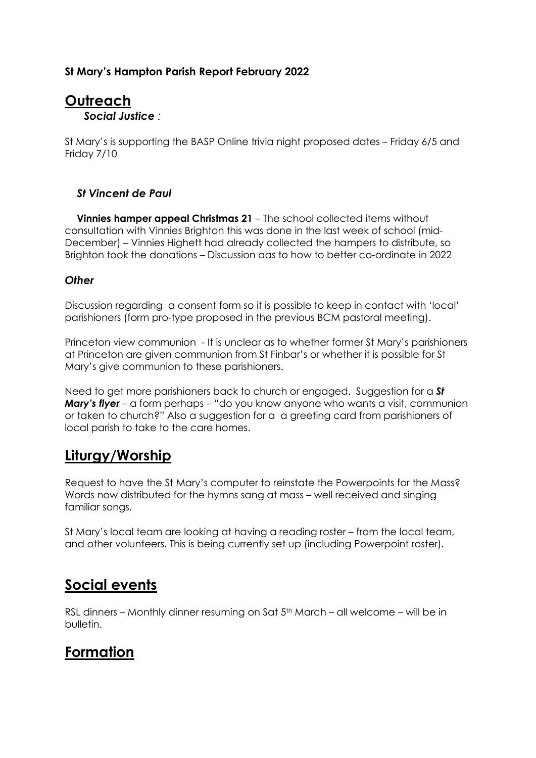### St Mary's Hampton Parish Report February 2022

### **Outreach** Social Justice :

St Mary's is supporting the BASP Online trivia night proposed dates – Friday 6/5 and Friday 7/10

#### St Vincent de Paul

 Vinnies hamper appeal Christmas 21 – The school collected items without consultation with Vinnies Brighton this was done in the last week of school (mid-December) – Vinnies Highett had already collected the hampers to distribute, so Brighton took the donations – Discussion aas to how to better co-ordinate in 2022

#### **Other**

Discussion regarding a consent form so it is possible to keep in contact with 'local' parishioners (form pro-type proposed in the previous BCM pastoral meeting).

Princeton view communion - It is unclear as to whether former St Mary's parishioners at Princeton are given communion from St Finbar's or whether it is possible for St Mary's give communion to these parishioners.

Need to get more parishioners back to church or engaged. Suggestion for a **St Mary's flyer** – a form perhaps – "do you know anyone who wants a visit, communion or taken to church?" Also a suggestion for a a greeting card from parishioners of local parish to take to the care homes.

## Liturgy/Worship

Request to have the St Mary's computer to reinstate the Powerpoints for the Mass? Words now distributed for the hymns sang at mass – well received and singing familiar songs.

St Mary's local team are looking at having a reading roster – from the local team, and other volunteers. This is being currently set up (including Powerpoint roster).

## Social events

RSL dinners – Monthly dinner resuming on Sat  $5<sup>th</sup>$  March – all welcome – will be in bulletin.

## Formation